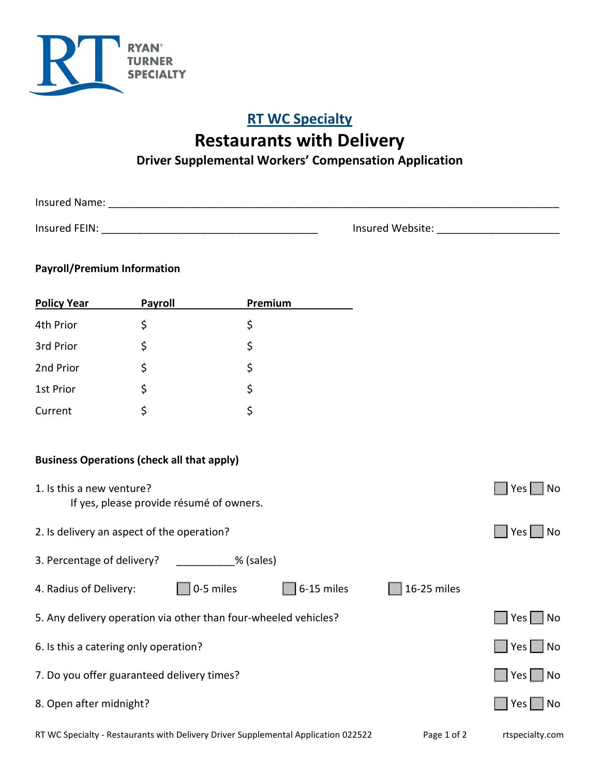

## **RT WC Specialty Restaurants with Delivery**

## **Driver Supplemental Workers' Compensation Application**

Insured Name: \_\_\_\_\_\_\_\_\_\_\_\_\_\_\_\_\_\_\_\_\_\_\_\_\_\_\_\_\_\_\_\_\_\_\_\_\_\_\_\_\_\_\_\_\_\_\_\_\_\_\_\_\_\_\_\_\_\_\_\_\_\_\_\_\_\_\_\_\_\_\_\_\_\_\_\_\_

Insured FEIN: \_\_\_\_\_\_\_\_\_\_\_\_\_\_\_\_\_\_\_\_\_\_\_\_\_\_\_\_\_\_\_\_\_\_\_\_\_ Insured Website: \_\_\_\_\_\_\_\_\_\_\_\_\_\_\_\_\_\_\_\_\_

## **Payroll/Premium Information**

| <b>Policy Year</b>                                              | Payroll                                  | <b>Premium</b> |                                                                                    |             |                      |
|-----------------------------------------------------------------|------------------------------------------|----------------|------------------------------------------------------------------------------------|-------------|----------------------|
| 4th Prior                                                       | \$                                       | \$             |                                                                                    |             |                      |
| 3rd Prior                                                       | \$                                       | \$             |                                                                                    |             |                      |
| 2nd Prior                                                       | \$                                       | \$             |                                                                                    |             |                      |
| 1st Prior                                                       | \$                                       | \$             |                                                                                    |             |                      |
| Current                                                         | \$                                       | \$             |                                                                                    |             |                      |
|                                                                 |                                          |                |                                                                                    |             |                      |
| <b>Business Operations (check all that apply)</b>               |                                          |                |                                                                                    |             |                      |
| 1. Is this a new venture?                                       | If yes, please provide résumé of owners. |                |                                                                                    |             | Yes<br>No            |
| 2. Is delivery an aspect of the operation?                      |                                          |                |                                                                                    |             | Yes <br>No           |
| 3. Percentage of delivery?                                      |                                          | % (sales)      |                                                                                    |             |                      |
| 4. Radius of Delivery:                                          |                                          | 0-5 miles      | 6-15 miles                                                                         | 16-25 miles |                      |
| 5. Any delivery operation via other than four-wheeled vehicles? |                                          |                |                                                                                    |             | Yes<br>No            |
| 6. Is this a catering only operation?                           |                                          |                |                                                                                    | $Yes$   No  |                      |
| 7. Do you offer guaranteed delivery times?                      |                                          |                |                                                                                    |             | Yes<br>No            |
| 8. Open after midnight?                                         |                                          |                |                                                                                    |             | $Yes \mid \text{No}$ |
|                                                                 |                                          |                | RT WC Specialty - Restaurants with Delivery Driver Supplemental Application 022522 | Page 1 of 2 | rtspecialty.com      |